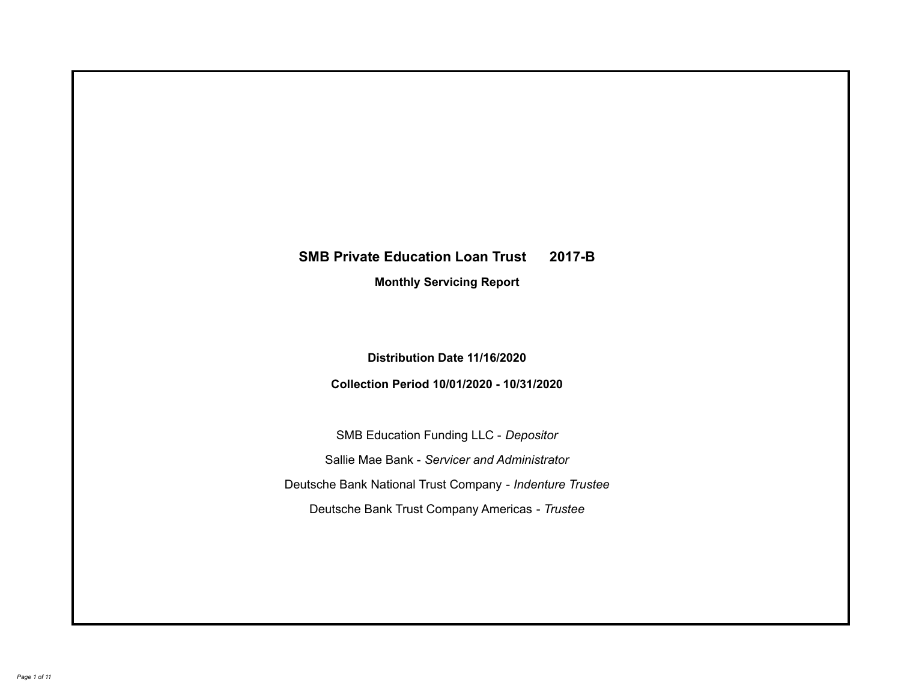# **SMB Private Education Loan Trust 2017-B Monthly Servicing Report**

**Distribution Date 11/16/2020**

**Collection Period 10/01/2020 - 10/31/2020**

SMB Education Funding LLC - *Depositor* Sallie Mae Bank - *Servicer and Administrator* Deutsche Bank National Trust Company - *Indenture Trustee* Deutsche Bank Trust Company Americas - *Trustee*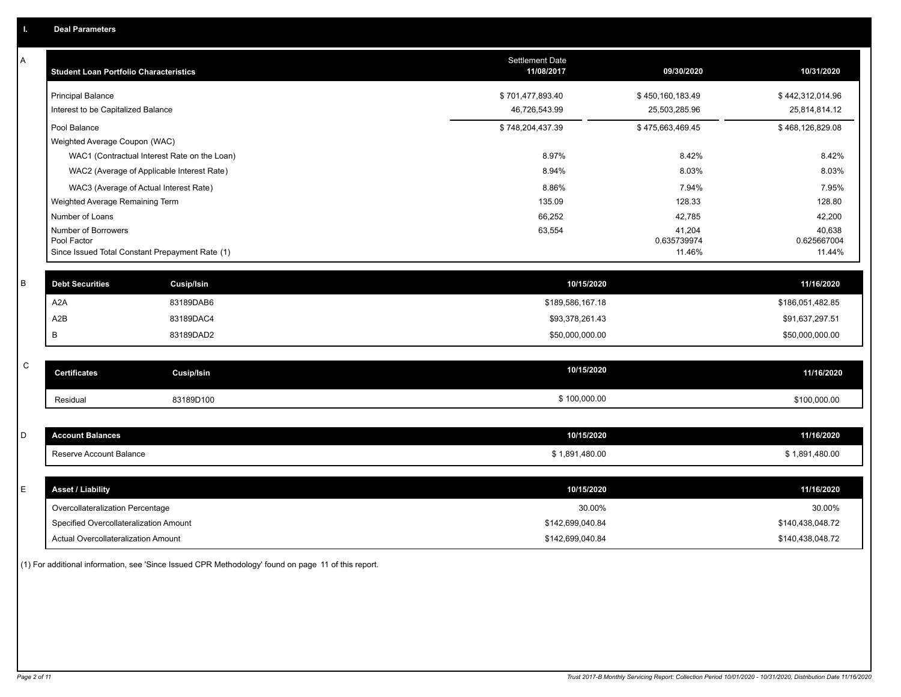| Α | <b>Student Loan Portfolio Characteristics</b>                  | <b>Settlement Date</b><br>11/08/2017 | 09/30/2020            | 10/31/2020            |
|---|----------------------------------------------------------------|--------------------------------------|-----------------------|-----------------------|
|   | <b>Principal Balance</b>                                       | \$701,477,893.40                     | \$450,160,183.49      | \$442,312,014.96      |
|   | Interest to be Capitalized Balance                             | 46,726,543.99                        | 25,503,285.96         | 25,814,814.12         |
|   | Pool Balance                                                   | \$748,204,437.39                     | \$475,663,469.45      | \$468,126,829.08      |
|   | Weighted Average Coupon (WAC)                                  |                                      |                       |                       |
|   | WAC1 (Contractual Interest Rate on the Loan)                   | 8.97%                                | 8.42%                 | 8.42%                 |
|   | WAC2 (Average of Applicable Interest Rate)                     | 8.94%                                | 8.03%                 | 8.03%                 |
|   | WAC3 (Average of Actual Interest Rate)                         | 8.86%                                | 7.94%                 | 7.95%                 |
|   | Weighted Average Remaining Term                                | 135.09                               | 128.33                | 128.80                |
|   | Number of Loans                                                | 66,252                               | 42,785                | 42,200                |
|   | Number of Borrowers                                            | 63,554                               | 41,204                | 40,638                |
|   | Pool Factor<br>Since Issued Total Constant Prepayment Rate (1) |                                      | 0.635739974<br>11.46% | 0.625667004<br>11.44% |
|   |                                                                |                                      |                       |                       |
| B | <b>Debt Securities</b><br><b>Cusip/Isin</b>                    | 10/15/2020                           |                       | 11/16/2020            |
|   | A2A<br>83189DAB6                                               | \$189,586,167.18                     |                       | \$186,051,482.85      |
|   | A <sub>2</sub> B<br>83189DAC4                                  | \$93,378,261.43                      |                       | \$91,637,297.51       |
|   | B<br>83189DAD2                                                 | \$50,000,000.00                      |                       | \$50,000,000.00       |
|   |                                                                |                                      |                       |                       |
| C | <b>Certificates</b><br><b>Cusip/Isin</b>                       | 10/15/2020                           |                       | 11/16/2020            |
|   | 83189D100<br>Residual                                          | \$100,000.00                         |                       | \$100,000.00          |
|   |                                                                |                                      |                       |                       |
| D | <b>Account Balances</b>                                        | 10/15/2020                           |                       | 11/16/2020            |
|   | Reserve Account Balance                                        | \$1,891,480.00                       |                       | \$1,891,480.00        |
|   |                                                                |                                      |                       |                       |
| Е | <b>Asset / Liability</b>                                       | 10/15/2020                           |                       | 11/16/2020            |
|   | Overcollateralization Percentage                               | 30.00%                               |                       | 30.00%                |
|   | Specified Overcollateralization Amount                         | \$142,699,040.84                     |                       | \$140,438,048.72      |
|   |                                                                |                                      |                       |                       |
|   | Actual Overcollateralization Amount                            | \$142,699,040.84                     |                       | \$140,438,048.72      |

(1) For additional information, see 'Since Issued CPR Methodology' found on page 11 of this report.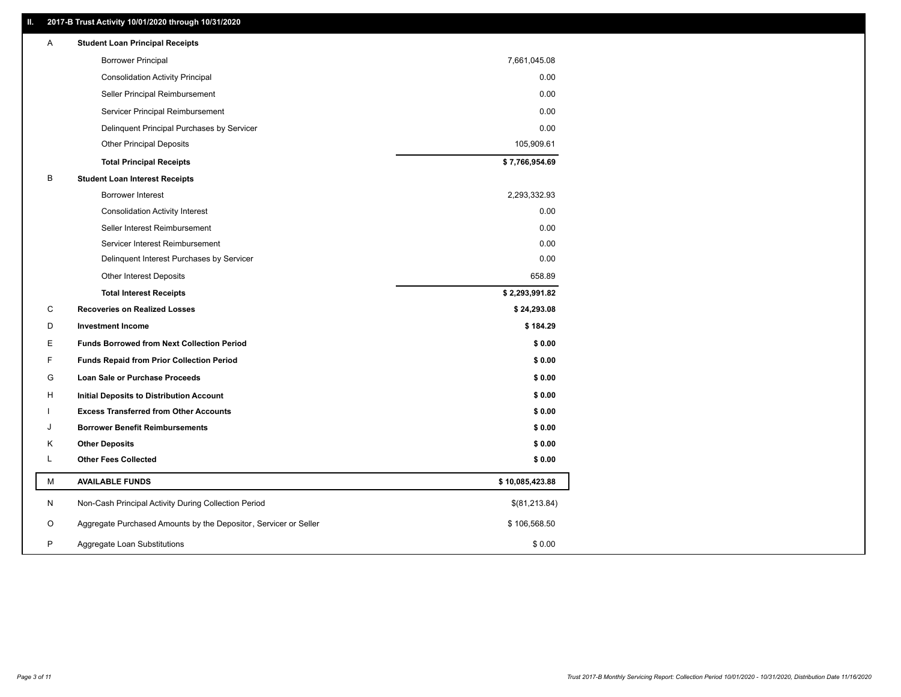# **II. 2017-B Trust Activity 10/01/2020 through 10/31/2020**

| Α  | <b>Student Loan Principal Receipts</b>                           |                 |
|----|------------------------------------------------------------------|-----------------|
|    | <b>Borrower Principal</b>                                        | 7,661,045.08    |
|    | <b>Consolidation Activity Principal</b>                          | 0.00            |
|    | Seller Principal Reimbursement                                   | 0.00            |
|    | Servicer Principal Reimbursement                                 | 0.00            |
|    | Delinquent Principal Purchases by Servicer                       | 0.00            |
|    | <b>Other Principal Deposits</b>                                  | 105,909.61      |
|    | <b>Total Principal Receipts</b>                                  | \$7,766,954.69  |
| B  | <b>Student Loan Interest Receipts</b>                            |                 |
|    | Borrower Interest                                                | 2,293,332.93    |
|    | <b>Consolidation Activity Interest</b>                           | 0.00            |
|    | Seller Interest Reimbursement                                    | 0.00            |
|    | Servicer Interest Reimbursement                                  | 0.00            |
|    | Delinquent Interest Purchases by Servicer                        | 0.00            |
|    | Other Interest Deposits                                          | 658.89          |
|    | <b>Total Interest Receipts</b>                                   | \$2,293,991.82  |
| C  | <b>Recoveries on Realized Losses</b>                             | \$24,293.08     |
| D  | <b>Investment Income</b>                                         | \$184.29        |
| Е  | <b>Funds Borrowed from Next Collection Period</b>                | \$0.00          |
| F  | <b>Funds Repaid from Prior Collection Period</b>                 | \$0.00          |
| G  | Loan Sale or Purchase Proceeds                                   | \$0.00          |
| н  | Initial Deposits to Distribution Account                         | \$0.00          |
|    | <b>Excess Transferred from Other Accounts</b>                    | \$0.00          |
| ۱. | <b>Borrower Benefit Reimbursements</b>                           | \$0.00          |
| Κ  | <b>Other Deposits</b>                                            | \$0.00          |
| L  | <b>Other Fees Collected</b>                                      | \$0.00          |
| М  | <b>AVAILABLE FUNDS</b>                                           | \$10,085,423.88 |
| N  | Non-Cash Principal Activity During Collection Period             | \$(81,213.84)   |
| O  | Aggregate Purchased Amounts by the Depositor, Servicer or Seller | \$106,568.50    |
| P  | Aggregate Loan Substitutions                                     | \$0.00          |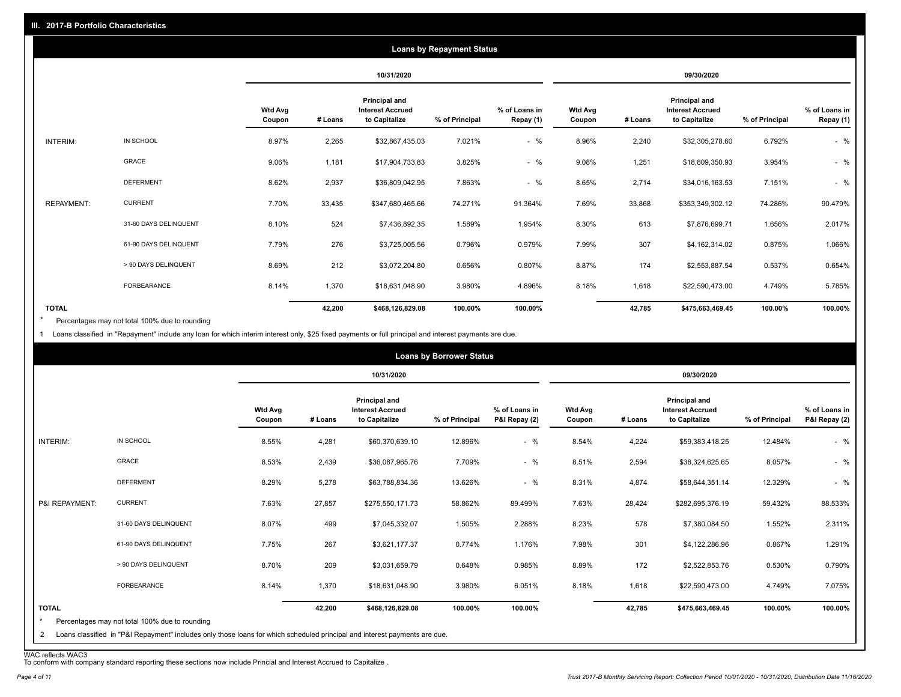|                   |                       |                          | <b>Loans by Repayment Status</b> |                                                           |                |                            |                          |         |                                                           |                |                            |
|-------------------|-----------------------|--------------------------|----------------------------------|-----------------------------------------------------------|----------------|----------------------------|--------------------------|---------|-----------------------------------------------------------|----------------|----------------------------|
|                   |                       |                          | 10/31/2020                       |                                                           |                | 09/30/2020                 |                          |         |                                                           |                |                            |
|                   |                       | <b>Wtd Avg</b><br>Coupon | # Loans                          | Principal and<br><b>Interest Accrued</b><br>to Capitalize | % of Principal | % of Loans in<br>Repay (1) | <b>Wtd Avg</b><br>Coupon | # Loans | Principal and<br><b>Interest Accrued</b><br>to Capitalize | % of Principal | % of Loans in<br>Repay (1) |
| INTERIM:          | IN SCHOOL             | 8.97%                    | 2,265                            | \$32,867,435.03                                           | 7.021%         | $-$ %                      | 8.96%                    | 2,240   | \$32,305,278.60                                           | 6.792%         | $-$ %                      |
|                   | <b>GRACE</b>          | 9.06%                    | 1,181                            | \$17,904,733.83                                           | 3.825%         | $-$ %                      | 9.08%                    | 1,251   | \$18,809,350.93                                           | 3.954%         | $-$ %                      |
|                   | <b>DEFERMENT</b>      | 8.62%                    | 2,937                            | \$36,809,042.95                                           | 7.863%         | $-$ %                      | 8.65%                    | 2,714   | \$34,016,163.53                                           | 7.151%         | $-$ %                      |
| <b>REPAYMENT:</b> | <b>CURRENT</b>        | 7.70%                    | 33,435                           | \$347,680,465.66                                          | 74.271%        | 91.364%                    | 7.69%                    | 33,868  | \$353,349,302.12                                          | 74.286%        | 90.479%                    |
|                   | 31-60 DAYS DELINQUENT | 8.10%                    | 524                              | \$7,436,892.35                                            | 1.589%         | 1.954%                     | 8.30%                    | 613     | \$7,876,699.71                                            | 1.656%         | 2.017%                     |
|                   | 61-90 DAYS DELINQUENT | 7.79%                    | 276                              | \$3,725,005.56                                            | 0.796%         | 0.979%                     | 7.99%                    | 307     | \$4,162,314.02                                            | 0.875%         | 1.066%                     |
|                   | > 90 DAYS DELINQUENT  | 8.69%                    | 212                              | \$3,072,204.80                                            | 0.656%         | 0.807%                     | 8.87%                    | 174     | \$2,553,887.54                                            | 0.537%         | 0.654%                     |
|                   | FORBEARANCE           | 8.14%                    | 1,370                            | \$18,631,048.90                                           | 3.980%         | 4.896%                     | 8.18%                    | 1,618   | \$22,590,473.00                                           | 4.749%         | 5.785%                     |
| <b>TOTAL</b>      |                       |                          | 42,200                           | \$468,126,829.08                                          | 100.00%        | 100.00%                    |                          | 42,785  | \$475,663,469.45                                          | 100.00%        | 100.00%                    |

Percentages may not total 100% due to rounding \*

1 Loans classified in "Repayment" include any loan for which interim interest only, \$25 fixed payments or full principal and interest payments are due.

|                              |                                                                                                                                                                              |                          |         |                                                           | <b>Loans by Borrower Status</b> |                                |                          |         |                                                                  |                |                                |
|------------------------------|------------------------------------------------------------------------------------------------------------------------------------------------------------------------------|--------------------------|---------|-----------------------------------------------------------|---------------------------------|--------------------------------|--------------------------|---------|------------------------------------------------------------------|----------------|--------------------------------|
|                              |                                                                                                                                                                              |                          |         | 10/31/2020                                                |                                 |                                | 09/30/2020               |         |                                                                  |                |                                |
|                              |                                                                                                                                                                              | <b>Wtd Avg</b><br>Coupon | # Loans | Principal and<br><b>Interest Accrued</b><br>to Capitalize | % of Principal                  | % of Loans in<br>P&I Repay (2) | <b>Wtd Avg</b><br>Coupon | # Loans | <b>Principal and</b><br><b>Interest Accrued</b><br>to Capitalize | % of Principal | % of Loans in<br>P&I Repay (2) |
| INTERIM:                     | IN SCHOOL                                                                                                                                                                    | 8.55%                    | 4,281   | \$60,370,639.10                                           | 12.896%                         | $-$ %                          | 8.54%                    | 4,224   | \$59,383,418.25                                                  | 12.484%        | $-$ %                          |
|                              | GRACE                                                                                                                                                                        | 8.53%                    | 2,439   | \$36,087,965.76                                           | 7.709%                          | $-$ %                          | 8.51%                    | 2,594   | \$38,324,625.65                                                  | 8.057%         | $-$ %                          |
|                              | <b>DEFERMENT</b>                                                                                                                                                             | 8.29%                    | 5,278   | \$63,788,834.36                                           | 13.626%                         | $-$ %                          | 8.31%                    | 4,874   | \$58,644,351.14                                                  | 12.329%        | $-$ %                          |
| P&I REPAYMENT:               | <b>CURRENT</b>                                                                                                                                                               | 7.63%                    | 27,857  | \$275,550,171.73                                          | 58.862%                         | 89.499%                        | 7.63%                    | 28,424  | \$282,695,376.19                                                 | 59.432%        | 88.533%                        |
|                              | 31-60 DAYS DELINQUENT                                                                                                                                                        | 8.07%                    | 499     | \$7,045,332.07                                            | 1.505%                          | 2.288%                         | 8.23%                    | 578     | \$7,380,084.50                                                   | 1.552%         | 2.311%                         |
|                              | 61-90 DAYS DELINQUENT                                                                                                                                                        | 7.75%                    | 267     | \$3,621,177.37                                            | 0.774%                          | 1.176%                         | 7.98%                    | 301     | \$4,122,286.96                                                   | 0.867%         | 1.291%                         |
|                              | > 90 DAYS DELINQUENT                                                                                                                                                         | 8.70%                    | 209     | \$3,031,659.79                                            | 0.648%                          | 0.985%                         | 8.89%                    | 172     | \$2,522,853.76                                                   | 0.530%         | 0.790%                         |
|                              | <b>FORBEARANCE</b>                                                                                                                                                           | 8.14%                    | 1,370   | \$18,631,048.90                                           | 3.980%                          | 6.051%                         | 8.18%                    | 1,618   | \$22,590,473.00                                                  | 4.749%         | 7.075%                         |
| <b>TOTAL</b><br>$\star$<br>2 | Percentages may not total 100% due to rounding<br>Loans classified in "P&I Repayment" includes only those loans for which scheduled principal and interest payments are due. |                          | 42,200  | \$468,126,829.08                                          | 100.00%                         | 100.00%                        |                          | 42,785  | \$475,663,469.45                                                 | 100.00%        | 100.00%                        |

WAC reflects WAC3 To conform with company standard reporting these sections now include Princial and Interest Accrued to Capitalize .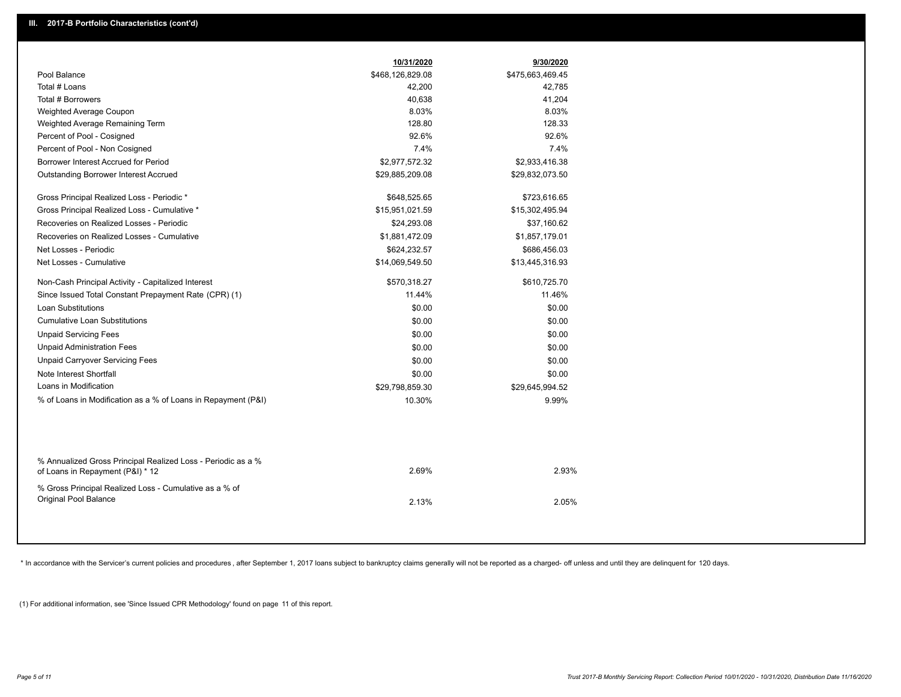|                                                                                                  | 10/31/2020       | 9/30/2020        |  |
|--------------------------------------------------------------------------------------------------|------------------|------------------|--|
| Pool Balance                                                                                     | \$468,126,829.08 | \$475,663,469.45 |  |
| Total # Loans                                                                                    | 42,200           | 42,785           |  |
| Total # Borrowers                                                                                | 40,638           | 41,204           |  |
| Weighted Average Coupon                                                                          | 8.03%            | 8.03%            |  |
| Weighted Average Remaining Term                                                                  | 128.80           | 128.33           |  |
| Percent of Pool - Cosigned                                                                       | 92.6%            | 92.6%            |  |
| Percent of Pool - Non Cosigned                                                                   | 7.4%             | 7.4%             |  |
| Borrower Interest Accrued for Period                                                             | \$2,977,572.32   | \$2,933,416.38   |  |
| Outstanding Borrower Interest Accrued                                                            | \$29,885,209.08  | \$29,832,073.50  |  |
| Gross Principal Realized Loss - Periodic *                                                       | \$648,525.65     | \$723,616.65     |  |
| Gross Principal Realized Loss - Cumulative *                                                     | \$15,951,021.59  | \$15,302,495.94  |  |
| Recoveries on Realized Losses - Periodic                                                         | \$24,293.08      | \$37,160.62      |  |
| Recoveries on Realized Losses - Cumulative                                                       | \$1,881,472.09   | \$1,857,179.01   |  |
| Net Losses - Periodic                                                                            | \$624,232.57     | \$686,456.03     |  |
| Net Losses - Cumulative                                                                          | \$14,069,549.50  | \$13,445,316.93  |  |
| Non-Cash Principal Activity - Capitalized Interest                                               | \$570,318.27     | \$610,725.70     |  |
| Since Issued Total Constant Prepayment Rate (CPR) (1)                                            | 11.44%           | 11.46%           |  |
| <b>Loan Substitutions</b>                                                                        | \$0.00           | \$0.00           |  |
| <b>Cumulative Loan Substitutions</b>                                                             | \$0.00           | \$0.00           |  |
| <b>Unpaid Servicing Fees</b>                                                                     | \$0.00           | \$0.00           |  |
| <b>Unpaid Administration Fees</b>                                                                | \$0.00           | \$0.00           |  |
| <b>Unpaid Carryover Servicing Fees</b>                                                           | \$0.00           | \$0.00           |  |
| Note Interest Shortfall                                                                          | \$0.00           | \$0.00           |  |
| Loans in Modification                                                                            | \$29,798,859.30  | \$29,645,994.52  |  |
| % of Loans in Modification as a % of Loans in Repayment (P&I)                                    | 10.30%           | 9.99%            |  |
|                                                                                                  |                  |                  |  |
| % Annualized Gross Principal Realized Loss - Periodic as a %<br>of Loans in Repayment (P&I) * 12 | 2.69%            | 2.93%            |  |
| % Gross Principal Realized Loss - Cumulative as a % of<br>Original Pool Balance                  | 2.13%            | 2.05%            |  |
|                                                                                                  |                  |                  |  |

\* In accordance with the Servicer's current policies and procedures, after September 1, 2017 loans subject to bankruptcy claims generally will not be reported as a charged- off unless and until they are delinquent for 120

(1) For additional information, see 'Since Issued CPR Methodology' found on page 11 of this report.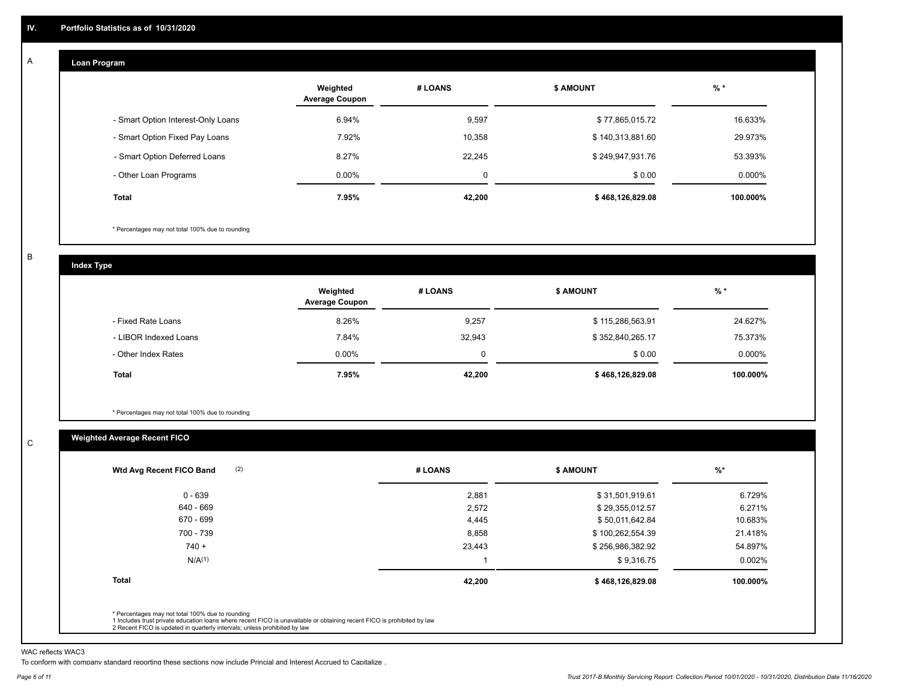#### **Loan Program**  A

|                                    | Weighted<br><b>Average Coupon</b> | # LOANS | <b>\$ AMOUNT</b> | $%$ *     |
|------------------------------------|-----------------------------------|---------|------------------|-----------|
| - Smart Option Interest-Only Loans | 6.94%                             | 9,597   | \$77,865,015.72  | 16.633%   |
| - Smart Option Fixed Pay Loans     | 7.92%                             | 10,358  | \$140,313,881.60 | 29.973%   |
| - Smart Option Deferred Loans      | 8.27%                             | 22.245  | \$249,947,931.76 | 53.393%   |
| - Other Loan Programs              | $0.00\%$                          | 0       | \$0.00           | $0.000\%$ |
| <b>Total</b>                       | 7.95%                             | 42,200  | \$468,126,829.08 | 100.000%  |

\* Percentages may not total 100% due to rounding

B

C

**Index Type**

|                       | Weighted<br><b>Average Coupon</b> | # LOANS | <b>\$ AMOUNT</b> | $%$ *    |
|-----------------------|-----------------------------------|---------|------------------|----------|
| - Fixed Rate Loans    | 8.26%                             | 9,257   | \$115,286,563.91 | 24.627%  |
| - LIBOR Indexed Loans | 7.84%                             | 32,943  | \$352,840,265.17 | 75.373%  |
| - Other Index Rates   | $0.00\%$                          |         | \$0.00           | 0.000%   |
| <b>Total</b>          | 7.95%                             | 42,200  | \$468,126,829.08 | 100.000% |

\* Percentages may not total 100% due to rounding

# **Weighted Average Recent FICO**

| (2)<br>Wtd Avg Recent FICO Band                                                                                                                                             | # LOANS | \$ AMOUNT        | $%$ *     |
|-----------------------------------------------------------------------------------------------------------------------------------------------------------------------------|---------|------------------|-----------|
| $0 - 639$                                                                                                                                                                   | 2,881   | \$31,501,919.61  | 6.729%    |
| 640 - 669                                                                                                                                                                   | 2,572   | \$29,355,012.57  | 6.271%    |
| 670 - 699                                                                                                                                                                   | 4,445   | \$50,011,642.84  | 10.683%   |
| 700 - 739                                                                                                                                                                   | 8,858   | \$100,262,554.39 | 21.418%   |
| $740 +$                                                                                                                                                                     | 23,443  | \$256,986,382.92 | 54.897%   |
| N/A <sup>(1)</sup>                                                                                                                                                          |         | \$9,316.75       | $0.002\%$ |
| <b>Total</b>                                                                                                                                                                | 42,200  | \$468,126,829.08 | 100.000%  |
|                                                                                                                                                                             |         |                  |           |
| * Percentages may not total 100% due to rounding<br>1 Includes trust private education loans where recent FICO is unavailable or obtaining recent FICO is prohibited by law |         |                  |           |

WAC reflects WAC3

To conform with company standard reporting these sections now include Princial and Interest Accrued to Capitalize .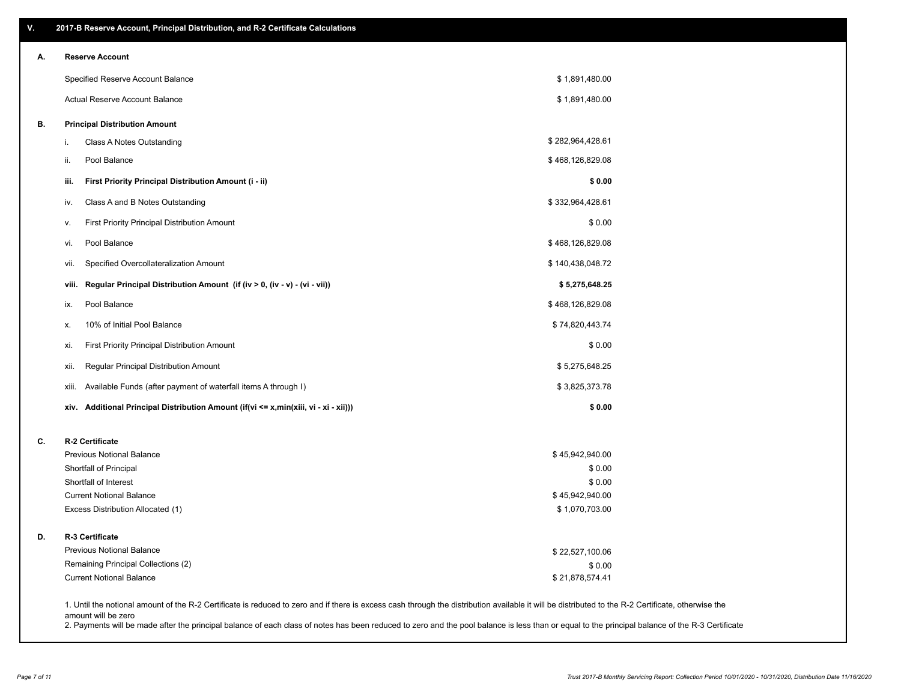| V. | 2017-B Reserve Account, Principal Distribution, and R-2 Certificate Calculations                                                                                                                   |                                   |  |
|----|----------------------------------------------------------------------------------------------------------------------------------------------------------------------------------------------------|-----------------------------------|--|
| А. | <b>Reserve Account</b>                                                                                                                                                                             |                                   |  |
|    | Specified Reserve Account Balance                                                                                                                                                                  | \$1,891,480.00                    |  |
|    | Actual Reserve Account Balance                                                                                                                                                                     | \$1,891,480.00                    |  |
| В. | <b>Principal Distribution Amount</b>                                                                                                                                                               |                                   |  |
|    | Class A Notes Outstanding<br>i.                                                                                                                                                                    | \$282,964,428.61                  |  |
|    | Pool Balance<br>ii.                                                                                                                                                                                | \$468,126,829.08                  |  |
|    | iii.<br>First Priority Principal Distribution Amount (i - ii)                                                                                                                                      | \$0.00                            |  |
|    | Class A and B Notes Outstanding<br>iv.                                                                                                                                                             | \$332,964,428.61                  |  |
|    | <b>First Priority Principal Distribution Amount</b><br>۷.                                                                                                                                          | \$0.00                            |  |
|    | Pool Balance<br>vi.                                                                                                                                                                                | \$468,126,829.08                  |  |
|    | Specified Overcollateralization Amount<br>vii.                                                                                                                                                     | \$140,438,048.72                  |  |
|    | Regular Principal Distribution Amount (if (iv > 0, (iv - v) - (vi - vii))<br>viii.                                                                                                                 | \$5,275,648.25                    |  |
|    | Pool Balance<br>ix.                                                                                                                                                                                | \$468,126,829.08                  |  |
|    | 10% of Initial Pool Balance<br>х.                                                                                                                                                                  | \$74,820,443.74                   |  |
|    | First Priority Principal Distribution Amount<br>xi.                                                                                                                                                | \$0.00                            |  |
|    | Regular Principal Distribution Amount<br>xii.                                                                                                                                                      | \$5,275,648.25                    |  |
|    | Available Funds (after payment of waterfall items A through I)<br>xiii.                                                                                                                            | \$3,825,373.78                    |  |
|    | Additional Principal Distribution Amount (if(vi <= x,min(xiii, vi - xi - xii)))<br>xiv.                                                                                                            | \$0.00                            |  |
| C. | R-2 Certificate                                                                                                                                                                                    |                                   |  |
|    | <b>Previous Notional Balance</b>                                                                                                                                                                   | \$45,942,940.00                   |  |
|    | Shortfall of Principal                                                                                                                                                                             | \$0.00                            |  |
|    | Shortfall of Interest                                                                                                                                                                              | \$0.00                            |  |
|    | <b>Current Notional Balance</b><br>Excess Distribution Allocated (1)                                                                                                                               | \$45,942,940.00<br>\$1,070,703.00 |  |
| D. | R-3 Certificate                                                                                                                                                                                    |                                   |  |
|    | <b>Previous Notional Balance</b>                                                                                                                                                                   | \$22,527,100.06                   |  |
|    | Remaining Principal Collections (2)                                                                                                                                                                | \$0.00                            |  |
|    | <b>Current Notional Balance</b>                                                                                                                                                                    | \$21,878,574.41                   |  |
|    | 1. Until the notional amount of the R-2 Certificate is reduced to zero and if there is excess cash through the distribution available it will be distributed to the R-2 Certificate, otherwise the |                                   |  |

amount will be zero

2. Payments will be made after the principal balance of each class of notes has been reduced to zero and the pool balance is less than or equal to the principal balance of the R-3 Certificate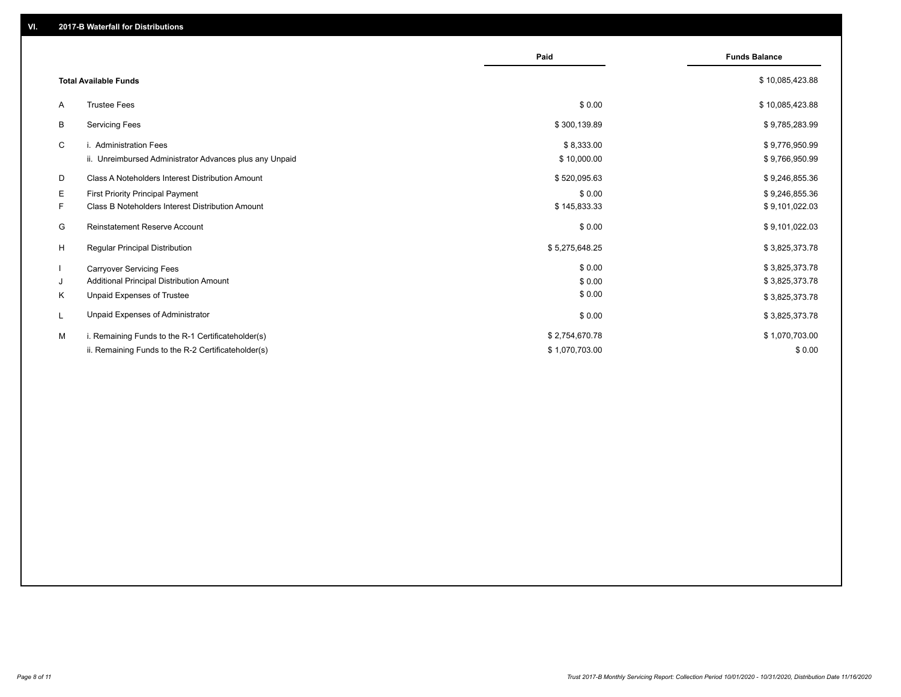|    |                                                         | Paid           | <b>Funds Balance</b> |
|----|---------------------------------------------------------|----------------|----------------------|
|    | <b>Total Available Funds</b>                            |                | \$10,085,423.88      |
| A  | <b>Trustee Fees</b>                                     | \$0.00         | \$10,085,423.88      |
| B  | <b>Servicing Fees</b>                                   | \$300,139.89   | \$9,785,283.99       |
| C  | i. Administration Fees                                  | \$8,333.00     | \$9,776,950.99       |
|    | ii. Unreimbursed Administrator Advances plus any Unpaid | \$10,000.00    | \$9,766,950.99       |
| D  | Class A Noteholders Interest Distribution Amount        | \$520,095.63   | \$9,246,855.36       |
| E. | <b>First Priority Principal Payment</b>                 | \$0.00         | \$9,246,855.36       |
| F. | Class B Noteholders Interest Distribution Amount        | \$145,833.33   | \$9,101,022.03       |
| G  | <b>Reinstatement Reserve Account</b>                    | \$0.00         | \$9,101,022.03       |
| H  | <b>Regular Principal Distribution</b>                   | \$5,275,648.25 | \$3,825,373.78       |
|    | <b>Carryover Servicing Fees</b>                         | \$0.00         | \$3,825,373.78       |
| J  | Additional Principal Distribution Amount                | \$0.00         | \$3,825,373.78       |
| Κ  | Unpaid Expenses of Trustee                              | \$0.00         | \$3,825,373.78       |
| L  | Unpaid Expenses of Administrator                        | \$0.00         | \$3,825,373.78       |
| M  | i. Remaining Funds to the R-1 Certificateholder(s)      | \$2,754,670.78 | \$1,070,703.00       |
|    | ii. Remaining Funds to the R-2 Certificateholder(s)     | \$1,070,703.00 | \$0.00               |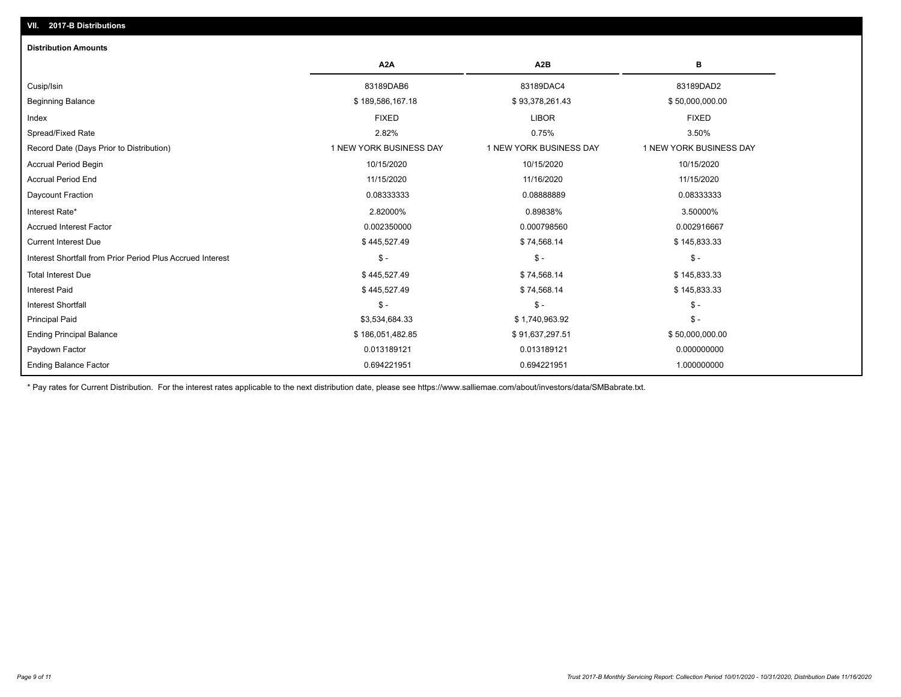| <b>Distribution Amounts</b>                                |                         |                         |                         |
|------------------------------------------------------------|-------------------------|-------------------------|-------------------------|
|                                                            | A <sub>2</sub> A        | A <sub>2</sub> B        | в                       |
| Cusip/Isin                                                 | 83189DAB6               | 83189DAC4               | 83189DAD2               |
| <b>Beginning Balance</b>                                   | \$189,586,167.18        | \$93,378,261.43         | \$50,000,000.00         |
| Index                                                      | <b>FIXED</b>            | <b>LIBOR</b>            | <b>FIXED</b>            |
| Spread/Fixed Rate                                          | 2.82%                   | 0.75%                   | 3.50%                   |
| Record Date (Days Prior to Distribution)                   | 1 NEW YORK BUSINESS DAY | 1 NEW YORK BUSINESS DAY | 1 NEW YORK BUSINESS DAY |
| <b>Accrual Period Begin</b>                                | 10/15/2020              | 10/15/2020              | 10/15/2020              |
| <b>Accrual Period End</b>                                  | 11/15/2020              | 11/16/2020              | 11/15/2020              |
| Daycount Fraction                                          | 0.08333333              | 0.08888889              | 0.08333333              |
| Interest Rate*                                             | 2.82000%                | 0.89838%                | 3.50000%                |
| Accrued Interest Factor                                    | 0.002350000             | 0.000798560             | 0.002916667             |
| <b>Current Interest Due</b>                                | \$445,527.49            | \$74,568.14             | \$145,833.33            |
| Interest Shortfall from Prior Period Plus Accrued Interest | $$ -$                   | $\mathsf{\$}$ -         | $\mathsf{\$}$ -         |
| <b>Total Interest Due</b>                                  | \$445,527.49            | \$74,568.14             | \$145,833.33            |
| <b>Interest Paid</b>                                       | \$445,527.49            | \$74,568.14             | \$145,833.33            |
| <b>Interest Shortfall</b>                                  | $$ -$                   | $\mathsf{\$}$ -         | $$ -$                   |
| <b>Principal Paid</b>                                      | \$3,534,684.33          | \$1,740,963.92          | $$ -$                   |
| <b>Ending Principal Balance</b>                            | \$186,051,482.85        | \$91,637,297.51         | \$50,000,000.00         |
| Paydown Factor                                             | 0.013189121             | 0.013189121             | 0.000000000             |
| <b>Ending Balance Factor</b>                               | 0.694221951             | 0.694221951             | 1.000000000             |

\* Pay rates for Current Distribution. For the interest rates applicable to the next distribution date, please see https://www.salliemae.com/about/investors/data/SMBabrate.txt.

**VII. 2017-B Distributions**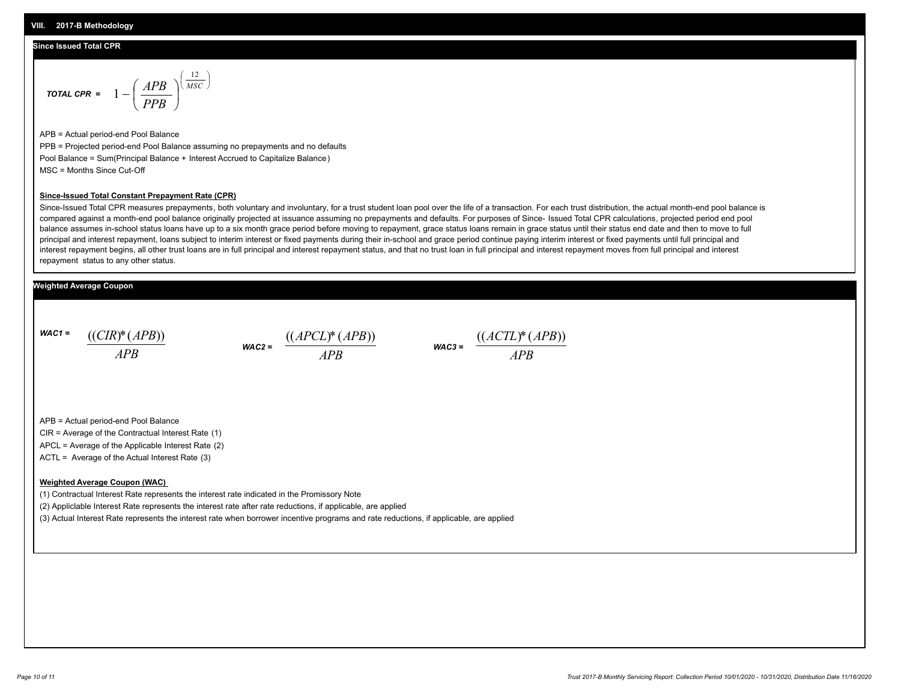#### **Since Issued Total CPR**

$$
\text{total CPR} = 1 - \left(\frac{APB}{PPB}\right)^{\left(\frac{12}{MSC}\right)}
$$

APB = Actual period-end Pool Balance PPB = Projected period-end Pool Balance assuming no prepayments and no defaults Pool Balance = Sum(Principal Balance + Interest Accrued to Capitalize Balance) MSC = Months Since Cut-Off

#### **Since-Issued Total Constant Prepayment Rate (CPR)**

Since-Issued Total CPR measures prepayments, both voluntary and involuntary, for a trust student loan pool over the life of a transaction. For each trust distribution, the actual month-end pool balance is compared against a month-end pool balance originally projected at issuance assuming no prepayments and defaults. For purposes of Since- Issued Total CPR calculations, projected period end pool balance assumes in-school status loans have up to a six month grace period before moving to repayment, grace status loans remain in grace status until their status end date and then to move to full principal and interest repayment, loans subject to interim interest or fixed payments during their in-school and grace period continue paying interim interest or fixed payments until full principal and interest repayment begins, all other trust loans are in full principal and interest repayment status, and that no trust loan in full principal and interest repayment moves from full principal and interest repayment status to any other status.

### **Weighted Average Coupon**

*WAC1 = APB* ((*CIR*)\*(*APB*))





APB = Actual period-end Pool Balance

CIR = Average of the Contractual Interest Rate (1)

APCL = Average of the Applicable Interest Rate (2)

ACTL = Average of the Actual Interest Rate (3)

#### **Weighted Average Coupon (WAC)**

(1) Contractual Interest Rate represents the interest rate indicated in the Promissory Note

(2) Appliclable Interest Rate represents the interest rate after rate reductions, if applicable, are applied

(3) Actual Interest Rate represents the interest rate when borrower incentive programs and rate reductions, if applicable, are applied